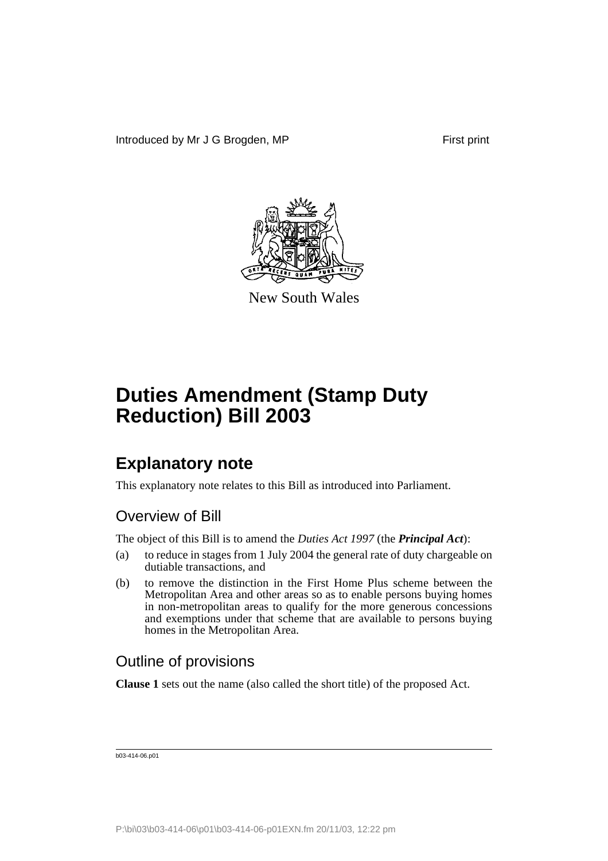Introduced by Mr J G Brogden, MP First print



New South Wales

# **Duties Amendment (Stamp Duty Reduction) Bill 2003**

## **Explanatory note**

This explanatory note relates to this Bill as introduced into Parliament.

### Overview of Bill

The object of this Bill is to amend the *Duties Act 1997* (the *Principal Act*):

- (a) to reduce in stages from 1 July 2004 the general rate of duty chargeable on dutiable transactions, and
- (b) to remove the distinction in the First Home Plus scheme between the Metropolitan Area and other areas so as to enable persons buying homes in non-metropolitan areas to qualify for the more generous concessions and exemptions under that scheme that are available to persons buying homes in the Metropolitan Area.

### Outline of provisions

**Clause 1** sets out the name (also called the short title) of the proposed Act.

b03-414-06.p01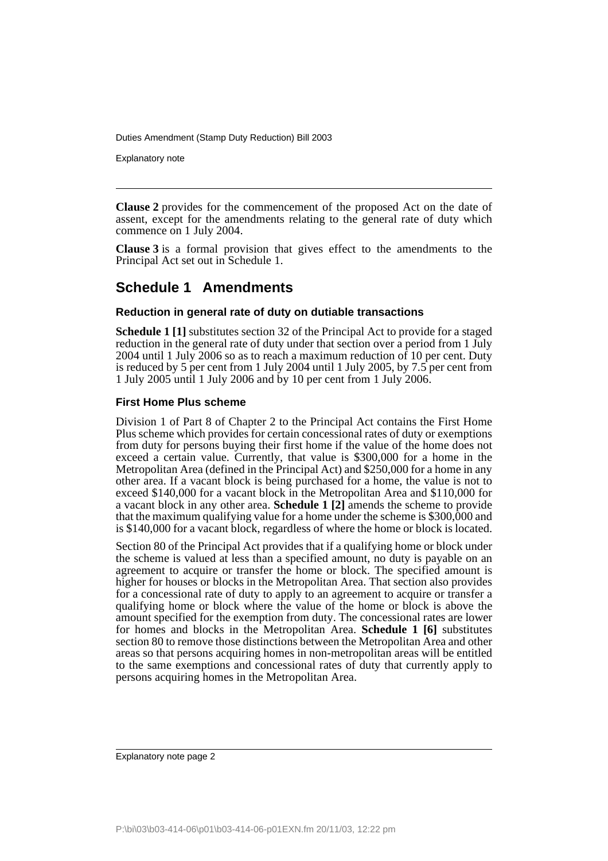Explanatory note

**Clause 2** provides for the commencement of the proposed Act on the date of assent, except for the amendments relating to the general rate of duty which commence on 1 July 2004.

**Clause 3** is a formal provision that gives effect to the amendments to the Principal Act set out in Schedule 1.

### **Schedule 1 Amendments**

### **Reduction in general rate of duty on dutiable transactions**

**Schedule 1 [1]** substitutes section 32 of the Principal Act to provide for a staged reduction in the general rate of duty under that section over a period from 1 July 2004 until 1 July 2006 so as to reach a maximum reduction of 10 per cent. Duty is reduced by 5 per cent from 1 July 2004 until 1 July 2005, by 7.5 per cent from 1 July 2005 until 1 July 2006 and by 10 per cent from 1 July 2006.

### **First Home Plus scheme**

Division 1 of Part 8 of Chapter 2 to the Principal Act contains the First Home Plus scheme which provides for certain concessional rates of duty or exemptions from duty for persons buying their first home if the value of the home does not exceed a certain value. Currently, that value is \$300,000 for a home in the Metropolitan Area (defined in the Principal Act) and \$250,000 for a home in any other area. If a vacant block is being purchased for a home, the value is not to exceed \$140,000 for a vacant block in the Metropolitan Area and \$110,000 for a vacant block in any other area. **Schedule 1 [2]** amends the scheme to provide that the maximum qualifying value for a home under the scheme is \$300,000 and is \$140,000 for a vacant block, regardless of where the home or block is located.

Section 80 of the Principal Act provides that if a qualifying home or block under the scheme is valued at less than a specified amount, no duty is payable on an agreement to acquire or transfer the home or block. The specified amount is higher for houses or blocks in the Metropolitan Area. That section also provides for a concessional rate of duty to apply to an agreement to acquire or transfer a qualifying home or block where the value of the home or block is above the amount specified for the exemption from duty. The concessional rates are lower for homes and blocks in the Metropolitan Area. **Schedule 1 [6]** substitutes section 80 to remove those distinctions between the Metropolitan Area and other areas so that persons acquiring homes in non-metropolitan areas will be entitled to the same exemptions and concessional rates of duty that currently apply to persons acquiring homes in the Metropolitan Area.

Explanatory note page 2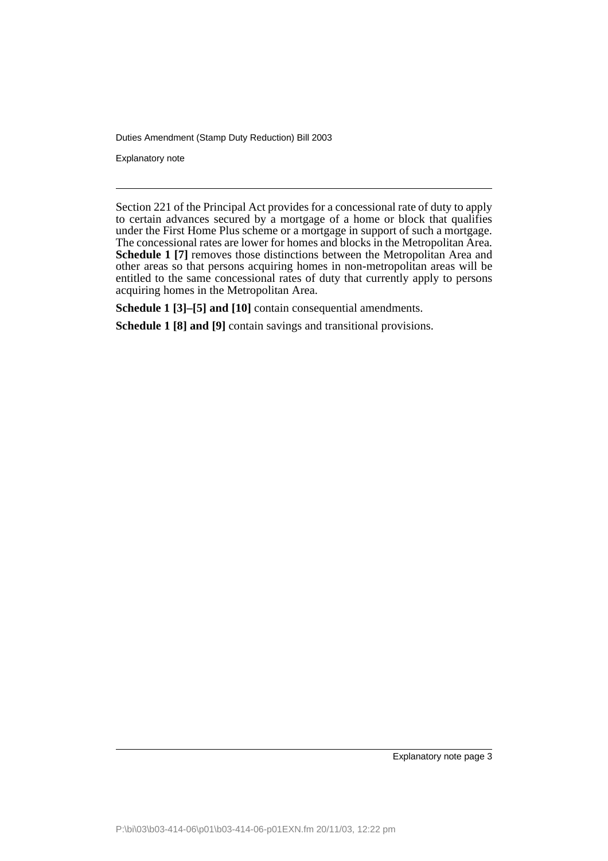Explanatory note

Section 221 of the Principal Act provides for a concessional rate of duty to apply to certain advances secured by a mortgage of a home or block that qualifies under the First Home Plus scheme or a mortgage in support of such a mortgage. The concessional rates are lower for homes and blocks in the Metropolitan Area. **Schedule 1 [7]** removes those distinctions between the Metropolitan Area and other areas so that persons acquiring homes in non-metropolitan areas will be entitled to the same concessional rates of duty that currently apply to persons acquiring homes in the Metropolitan Area.

**Schedule 1 [3]–[5] and [10]** contain consequential amendments.

**Schedule 1 [8] and [9]** contain savings and transitional provisions.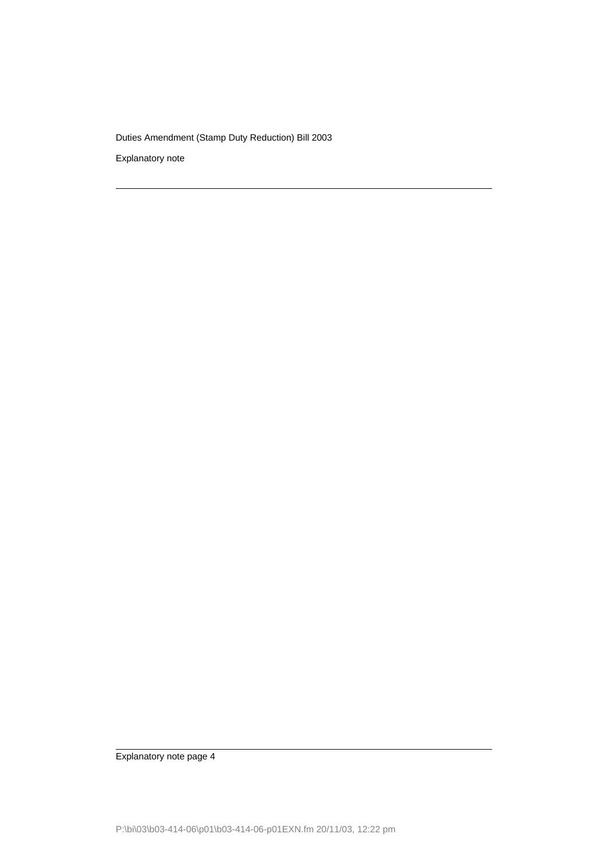Explanatory note

Explanatory note page 4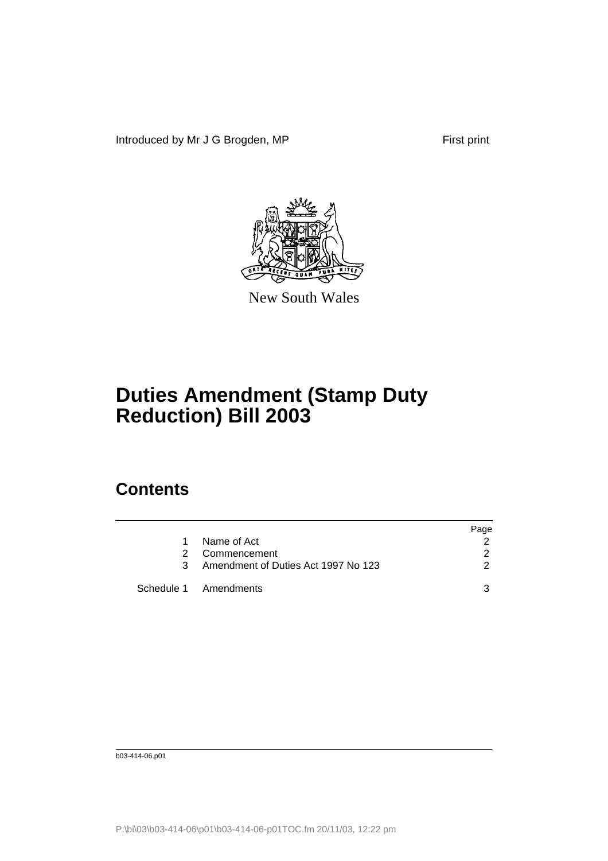Introduced by Mr J G Brogden, MP First print



New South Wales

## **Duties Amendment (Stamp Duty Reduction) Bill 2003**

## **Contents**

|               |                                       | Page |
|---------------|---------------------------------------|------|
| 1.            | Name of Act                           |      |
| $\mathcal{P}$ | Commencement                          | 2    |
|               | 3 Amendment of Duties Act 1997 No 123 | 2    |
|               | Schedule 1 Amendments                 | 3.   |

b03-414-06.p01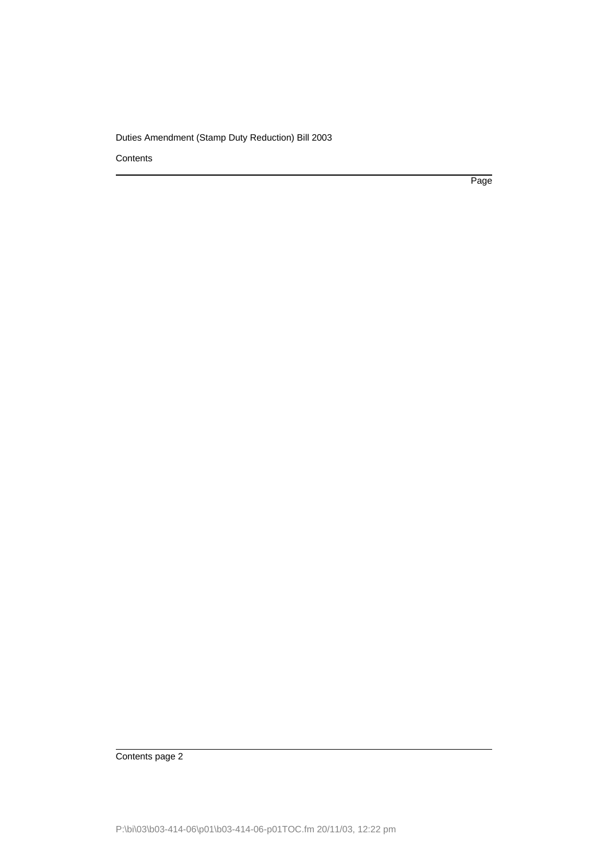**Contents** 

Page

Contents page 2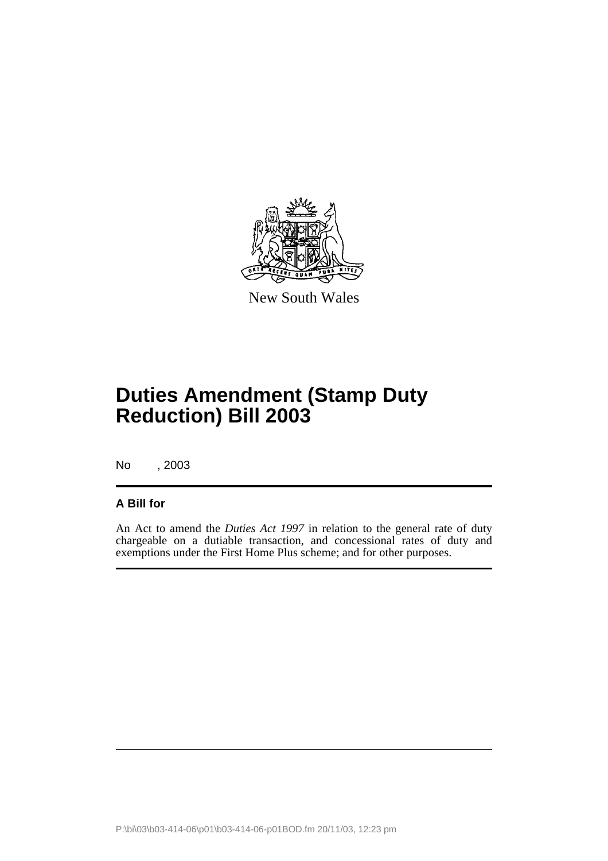

New South Wales

## **Duties Amendment (Stamp Duty Reduction) Bill 2003**

No , 2003

### **A Bill for**

An Act to amend the *Duties Act 1997* in relation to the general rate of duty chargeable on a dutiable transaction, and concessional rates of duty and exemptions under the First Home Plus scheme; and for other purposes.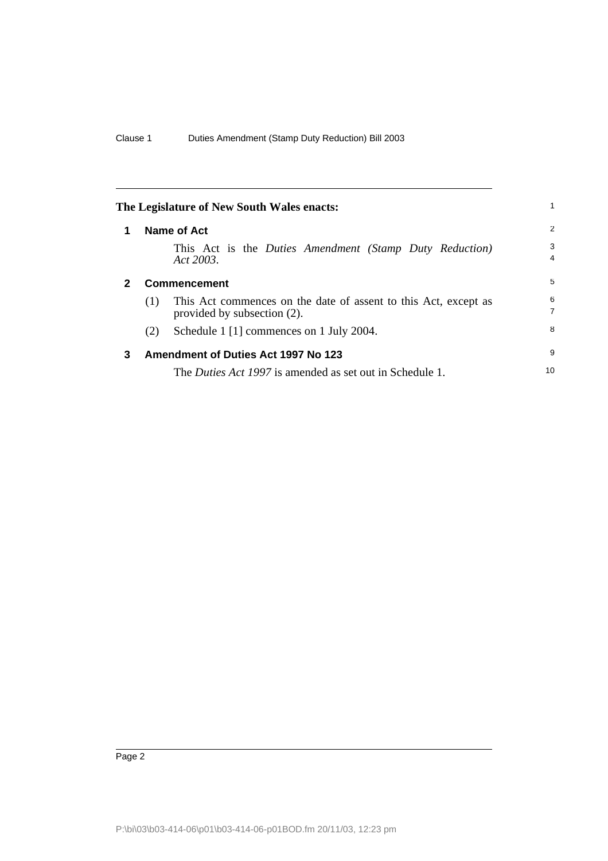<span id="page-7-2"></span><span id="page-7-1"></span><span id="page-7-0"></span>

|              |                     | The Legislature of New South Wales enacts:                                                     |        |
|--------------|---------------------|------------------------------------------------------------------------------------------------|--------|
| 1            |                     | <b>Name of Act</b>                                                                             | 2      |
|              |                     | This Act is the Duties Amendment (Stamp Duty Reduction)<br>Act 2003.                           | 3<br>4 |
| $\mathbf{2}$ | <b>Commencement</b> |                                                                                                |        |
|              | (1)                 | This Act commences on the date of assent to this Act, except as<br>provided by subsection (2). | 6<br>7 |
|              | (2)                 | Schedule 1 [1] commences on 1 July 2004.                                                       | 8      |
| 3            |                     | <b>Amendment of Duties Act 1997 No 123</b>                                                     | 9      |
|              |                     | The <i>Duties Act 1997</i> is amended as set out in Schedule 1.                                | 10     |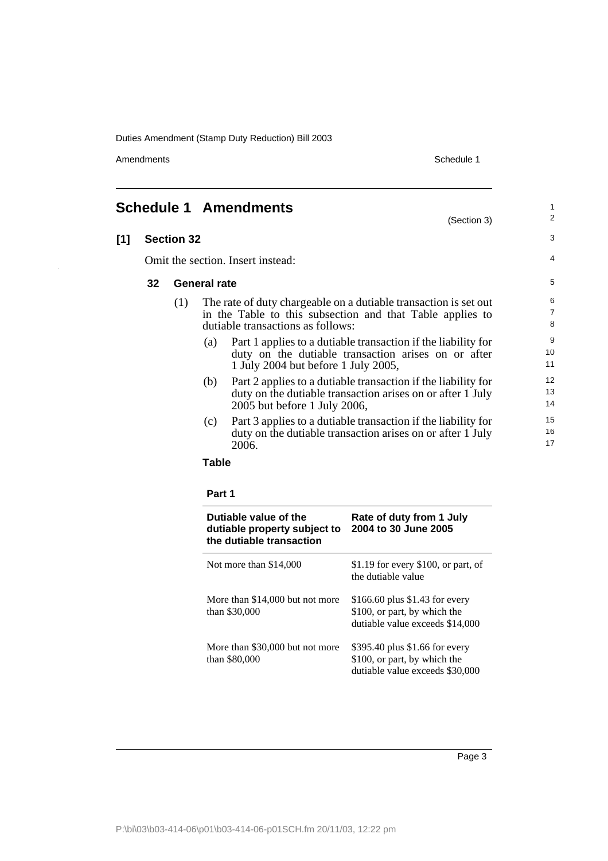Amendments **Schedule 1** and the set of the set of the set of the set of the set of the set of the set of the set of the set of the set of the set of the set of the set of the set of the set of the set of the set of the set

#### <span id="page-8-0"></span>**Schedule 1 Amendments** (Section 3) **[1] Section 32** Omit the section. Insert instead: **32 General rate** (1) The rate of duty chargeable on a dutiable transaction is set out in the Table to this subsection and that Table applies to dutiable transactions as follows: (a) Part 1 applies to a dutiable transaction if the liability for duty on the dutiable transaction arises on or after 1 July 2004 but before 1 July 2005, (b) Part 2 applies to a dutiable transaction if the liability for duty on the dutiable transaction arises on or after 1 July 2005 but before 1 July 2006, (c) Part 3 applies to a dutiable transaction if the liability for duty on the dutiable transaction arises on or after 1 July 2006. 1 2 3 4 5 6 7 8 9 10 11 12 13 14 15 16 17

### **Table**

#### **Part 1**

| Dutiable value of the<br>dutiable property subject to<br>the dutiable transaction | Rate of duty from 1 July<br>2004 to 30 June 2005                                                  |
|-----------------------------------------------------------------------------------|---------------------------------------------------------------------------------------------------|
| Not more than \$14,000                                                            | \$1.19 for every \$100, or part, of<br>the dutiable value                                         |
| More than \$14,000 but not more<br>than \$30,000                                  | \$166.60 plus \$1.43 for every<br>\$100, or part, by which the<br>dutiable value exceeds \$14,000 |
| More than \$30,000 but not more<br>than \$80,000                                  | \$395.40 plus \$1.66 for every<br>\$100, or part, by which the<br>dutiable value exceeds \$30,000 |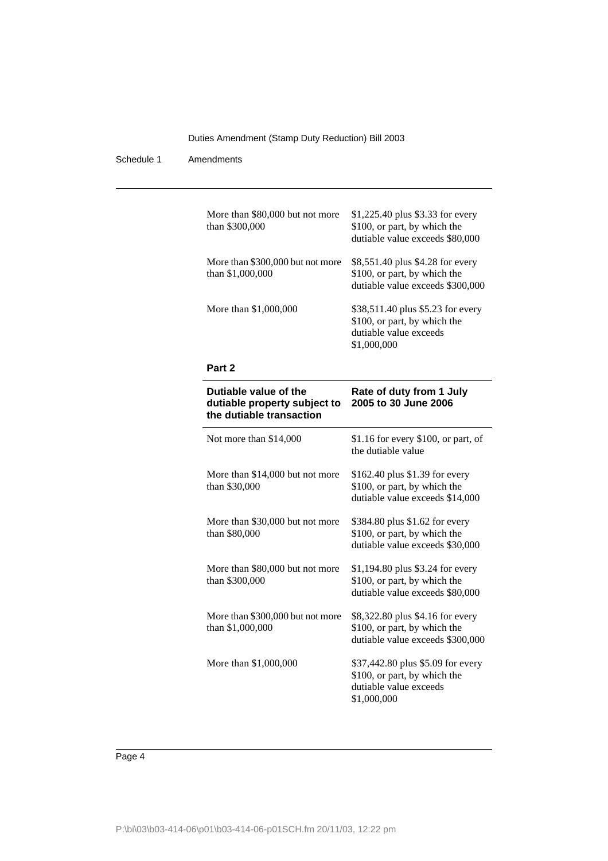| Schedule 1 | Amendments                                                                        |                                                                                                            |
|------------|-----------------------------------------------------------------------------------|------------------------------------------------------------------------------------------------------------|
|            | More than \$80,000 but not more<br>than \$300,000                                 | \$1,225.40 plus \$3.33 for every<br>\$100, or part, by which the<br>dutiable value exceeds \$80,000        |
|            | More than \$300,000 but not more<br>than \$1,000,000                              | \$8,551.40 plus \$4.28 for every<br>\$100, or part, by which the<br>dutiable value exceeds \$300,000       |
|            | More than \$1,000,000                                                             | \$38,511.40 plus \$5.23 for every<br>\$100, or part, by which the<br>dutiable value exceeds<br>\$1,000,000 |
|            | Part 2                                                                            |                                                                                                            |
|            | Dutiable value of the<br>dutiable property subject to<br>the dutiable transaction | Rate of duty from 1 July<br>2005 to 30 June 2006                                                           |
|            | Not more than \$14,000                                                            | $$1.16$ for every $$100$ , or part, of<br>the dutiable value                                               |
|            | More than \$14,000 but not more<br>than \$30,000                                  | \$162.40 plus \$1.39 for every<br>\$100, or part, by which the<br>dutiable value exceeds \$14,000          |
|            | More than \$30,000 but not more<br>than \$80,000                                  | \$384.80 plus \$1.62 for every<br>\$100, or part, by which the<br>dutiable value exceeds \$30,000          |
|            | More than \$80,000 but not more<br>than \$300,000                                 | \$1,194.80 plus \$3.24 for every<br>\$100, or part, by which the<br>dutiable value exceeds \$80,000        |
|            | More than \$300,000 but not more<br>than \$1,000,000                              | \$8,322.80 plus \$4.16 for every<br>\$100, or part, by which the<br>dutiable value exceeds \$300,000       |
|            | More than \$1,000,000                                                             | \$37,442.80 plus \$5.09 for every<br>\$100, or part, by which the<br>dutiable value exceeds<br>\$1,000,000 |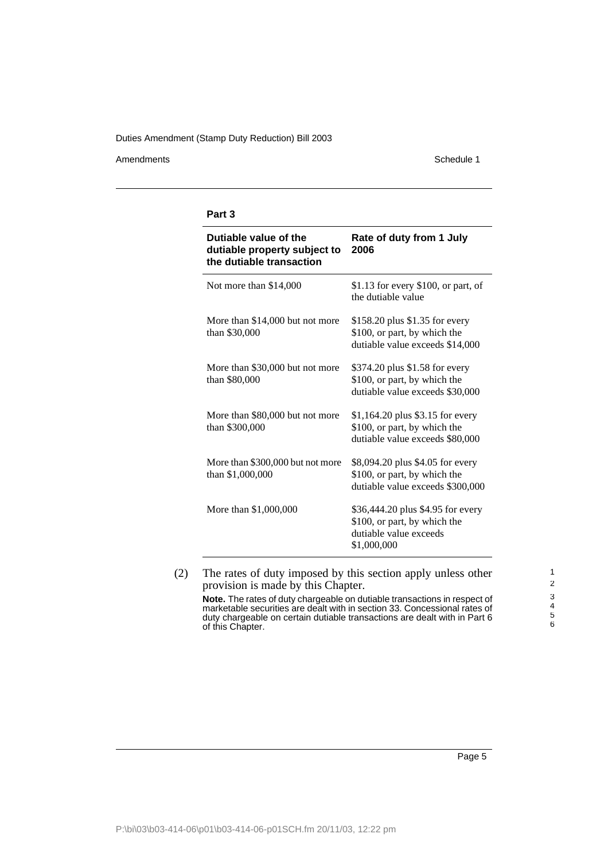Amendments **Schedule 1** and the set of the set of the set of the set of the set of the set of the set of the set of the set of the set of the set of the set of the set of the set of the set of the set of the set of the set

### **Part 3**

| Dutiable value of the<br>dutiable property subject to<br>the dutiable transaction | Rate of duty from 1 July<br>2006                                                                           |
|-----------------------------------------------------------------------------------|------------------------------------------------------------------------------------------------------------|
| Not more than \$14,000                                                            | \$1.13 for every \$100, or part, of<br>the dutiable value                                                  |
| More than \$14,000 but not more<br>than \$30,000                                  | \$158.20 plus \$1.35 for every<br>\$100, or part, by which the<br>dutiable value exceeds \$14,000          |
| More than \$30,000 but not more<br>than \$80,000                                  | \$374.20 plus \$1.58 for every<br>\$100, or part, by which the<br>dutiable value exceeds \$30,000          |
| More than \$80,000 but not more<br>than \$300,000                                 | \$1,164.20 plus \$3.15 for every<br>\$100, or part, by which the<br>dutiable value exceeds \$80,000        |
| More than \$300,000 but not more<br>than \$1,000,000                              | \$8,094.20 plus \$4.05 for every<br>\$100, or part, by which the<br>dutiable value exceeds \$300,000       |
| More than \$1,000,000                                                             | \$36,444.20 plus \$4.95 for every<br>\$100, or part, by which the<br>dutiable value exceeds<br>\$1,000,000 |

(2) The rates of duty imposed by this section apply unless other provision is made by this Chapter.

**Note.** The rates of duty chargeable on dutiable transactions in respect of marketable securities are dealt with in section 33. Concessional rates of duty chargeable on certain dutiable transactions are dealt with in Part 6 of this Chapter.

Page 5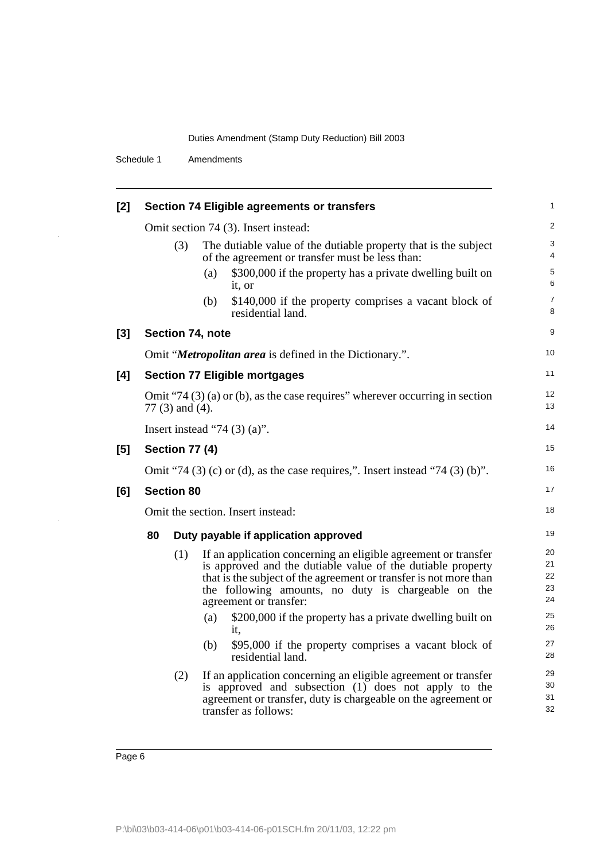Schedule 1 Amendments

| [2] |                       | Section 74 Eligible agreements or transfers                                                                                                                                                                                                                                                                                                                                                                                                                                                                                                                                                                                                                           | 1                                                                          |  |
|-----|-----------------------|-----------------------------------------------------------------------------------------------------------------------------------------------------------------------------------------------------------------------------------------------------------------------------------------------------------------------------------------------------------------------------------------------------------------------------------------------------------------------------------------------------------------------------------------------------------------------------------------------------------------------------------------------------------------------|----------------------------------------------------------------------------|--|
|     |                       | Omit section 74 (3). Insert instead:                                                                                                                                                                                                                                                                                                                                                                                                                                                                                                                                                                                                                                  |                                                                            |  |
|     | (3)                   | The dutiable value of the dutiable property that is the subject<br>of the agreement or transfer must be less than:                                                                                                                                                                                                                                                                                                                                                                                                                                                                                                                                                    | 3<br>4                                                                     |  |
|     |                       | (a)<br>\$300,000 if the property has a private dwelling built on<br>it, or                                                                                                                                                                                                                                                                                                                                                                                                                                                                                                                                                                                            | 5<br>6                                                                     |  |
|     |                       | (b)<br>\$140,000 if the property comprises a vacant block of<br>residential land.                                                                                                                                                                                                                                                                                                                                                                                                                                                                                                                                                                                     | $\overline{7}$<br>8                                                        |  |
| [3] | Section 74, note      |                                                                                                                                                                                                                                                                                                                                                                                                                                                                                                                                                                                                                                                                       | 9                                                                          |  |
|     |                       | Omit "Metropolitan area is defined in the Dictionary.".                                                                                                                                                                                                                                                                                                                                                                                                                                                                                                                                                                                                               | 10                                                                         |  |
| [4] |                       | <b>Section 77 Eligible mortgages</b>                                                                                                                                                                                                                                                                                                                                                                                                                                                                                                                                                                                                                                  | 11                                                                         |  |
|     | 77 $(3)$ and $(4)$ .  | Omit "74 $(3)$ (a) or (b), as the case requires" wherever occurring in section                                                                                                                                                                                                                                                                                                                                                                                                                                                                                                                                                                                        | 12<br>13                                                                   |  |
|     |                       | Insert instead "74 $(3)$ $(a)$ ".                                                                                                                                                                                                                                                                                                                                                                                                                                                                                                                                                                                                                                     | 14                                                                         |  |
| [5] | <b>Section 77 (4)</b> |                                                                                                                                                                                                                                                                                                                                                                                                                                                                                                                                                                                                                                                                       | 15                                                                         |  |
|     |                       | Omit "74 (3) (c) or (d), as the case requires,". Insert instead "74 (3) (b)".                                                                                                                                                                                                                                                                                                                                                                                                                                                                                                                                                                                         | 16                                                                         |  |
| [6] | <b>Section 80</b>     |                                                                                                                                                                                                                                                                                                                                                                                                                                                                                                                                                                                                                                                                       | 17                                                                         |  |
|     |                       | Omit the section. Insert instead:                                                                                                                                                                                                                                                                                                                                                                                                                                                                                                                                                                                                                                     | 18                                                                         |  |
|     | 80                    | Duty payable if application approved                                                                                                                                                                                                                                                                                                                                                                                                                                                                                                                                                                                                                                  | 19                                                                         |  |
|     | (1)<br>(2)            | If an application concerning an eligible agreement or transfer<br>is approved and the dutiable value of the dutiable property<br>that is the subject of the agreement or transfer is not more than<br>the following amounts, no duty is chargeable on the<br>agreement or transfer:<br>(a)<br>\$200,000 if the property has a private dwelling built on<br>it,<br>\$95,000 if the property comprises a vacant block of<br>(b)<br>residential land.<br>If an application concerning an eligible agreement or transfer<br>is approved and subsection (1) does not apply to the<br>agreement or transfer, duty is chargeable on the agreement or<br>transfer as follows: | 20<br>21<br>22<br>23<br>24<br>25<br>26<br>27<br>28<br>29<br>30<br>31<br>32 |  |

 $\ddot{\phantom{a}}$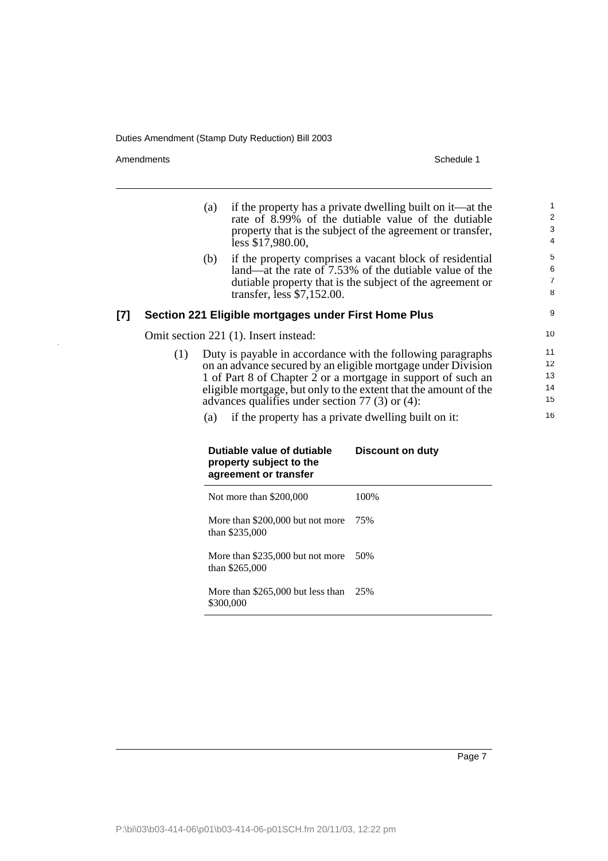Amendments **Schedule 1** and the set of the set of the set of the set of the set of the set of the set of the set of the set of the set of the set of the set of the set of the set of the set of the set of the set of the set

 $\mathbb{R}^2$ 

16

|     |     | (a) | if the property has a private dwelling built on it—at the<br>rate of 8.99% of the dutiable value of the dutiable<br>property that is the subject of the agreement or transfer,<br>less \$17,980.00, | $\overline{2}$<br>3<br>$\overline{4}$ |
|-----|-----|-----|-----------------------------------------------------------------------------------------------------------------------------------------------------------------------------------------------------|---------------------------------------|
|     |     | (b) | if the property comprises a vacant block of residential                                                                                                                                             | 5                                     |
|     |     |     | land—at the rate of 7.53% of the dutiable value of the                                                                                                                                              | $\,6\,$                               |
|     |     |     | dutiable property that is the subject of the agreement or                                                                                                                                           | $\overline{7}$                        |
|     |     |     | transfer, less \$7,152.00.                                                                                                                                                                          | 8                                     |
| [7] |     |     | Section 221 Eligible mortgages under First Home Plus                                                                                                                                                | 9                                     |
|     |     |     | Omit section 221 (1). Insert instead:                                                                                                                                                               | 10                                    |
|     | (1) |     | Duty is payable in accordance with the following paragraphs                                                                                                                                         | 11                                    |
|     |     |     | on an advance secured by an eligible mortgage under Division                                                                                                                                        | 12                                    |
|     |     |     | 1 of Part 8 of Chapter 2 or a mortgage in support of such an                                                                                                                                        | 13                                    |
|     |     |     | eligible mortgage, but only to the extent that the amount of the                                                                                                                                    | 14                                    |
|     |     |     | advances qualifies under section 77 (3) or (4):                                                                                                                                                     | 15                                    |
|     |     |     |                                                                                                                                                                                                     |                                       |

(a) if the property has a private dwelling built on it:

#### **Dutiable value of dutiable property subject to the agreement or transfer Discount on duty**

| Not more than \$200,000                              | 100% |
|------------------------------------------------------|------|
| More than \$200,000 but not more<br>than \$235,000   | 75%  |
| More than $$235,000$ but not more<br>than $$265,000$ | 50\% |
| More than \$265,000 but less than<br>\$300,000       | 25%  |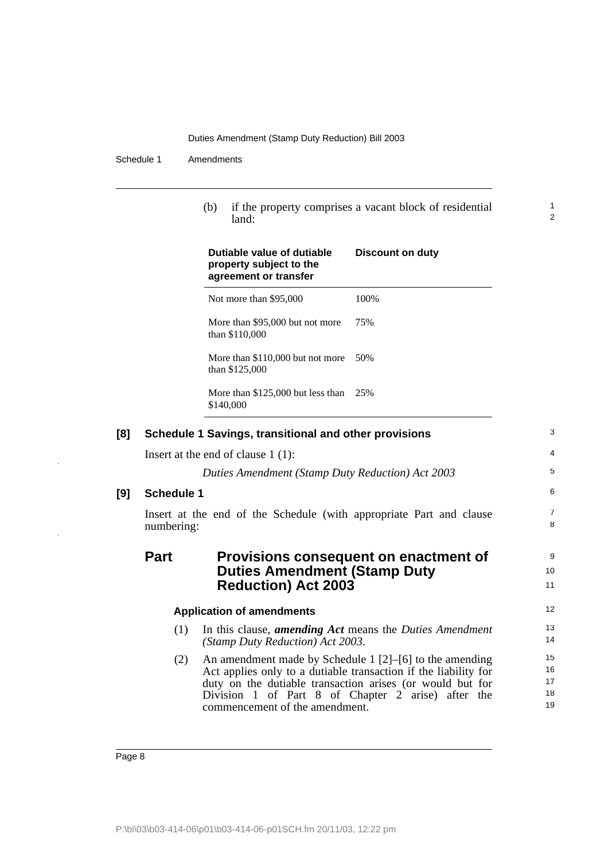Schedule 1 Amendments

(b) if the property comprises a vacant block of residential land:

**Discount on duty**

### **Dutiable value of dutiable property subject to the agreement or transfer**

| Not more than \$95,000                             | 100% |
|----------------------------------------------------|------|
| More than \$95,000 but not more<br>than \$110,000  | 75%  |
| More than \$110,000 but not more<br>than \$125,000 | 50\% |
| More than \$125,000 but less than<br>\$140,000     | 25%  |

| [8] |                   | Schedule 1 Savings, transitional and other provisions                                                                                                                                                                                                                                 | 3                          |
|-----|-------------------|---------------------------------------------------------------------------------------------------------------------------------------------------------------------------------------------------------------------------------------------------------------------------------------|----------------------------|
|     |                   | Insert at the end of clause $1(1)$ :                                                                                                                                                                                                                                                  | $\overline{4}$             |
|     |                   | Duties Amendment (Stamp Duty Reduction) Act 2003                                                                                                                                                                                                                                      | 5                          |
| [9] | <b>Schedule 1</b> |                                                                                                                                                                                                                                                                                       | 6                          |
|     | numbering:        | Insert at the end of the Schedule (with appropriate Part and clause                                                                                                                                                                                                                   | $\overline{7}$<br>8        |
|     | <b>Part</b>       | Provisions consequent on enactment of<br><b>Duties Amendment (Stamp Duty</b><br><b>Reduction) Act 2003</b>                                                                                                                                                                            | 9<br>10<br>11              |
|     |                   | <b>Application of amendments</b>                                                                                                                                                                                                                                                      | 12                         |
|     | (1)               | In this clause, <i>amending Act</i> means the <i>Duties Amendment</i><br>(Stamp Duty Reduction) Act 2003.                                                                                                                                                                             | 13<br>14                   |
|     | (2)               | An amendment made by Schedule 1 $[2]$ – $[6]$ to the amending<br>Act applies only to a dutiable transaction if the liability for<br>duty on the dutiable transaction arises (or would but for<br>Division 1 of Part 8 of Chapter 2 arise) after the<br>commencement of the amendment. | 15<br>16<br>17<br>18<br>19 |
|     |                   |                                                                                                                                                                                                                                                                                       |                            |

Page 8